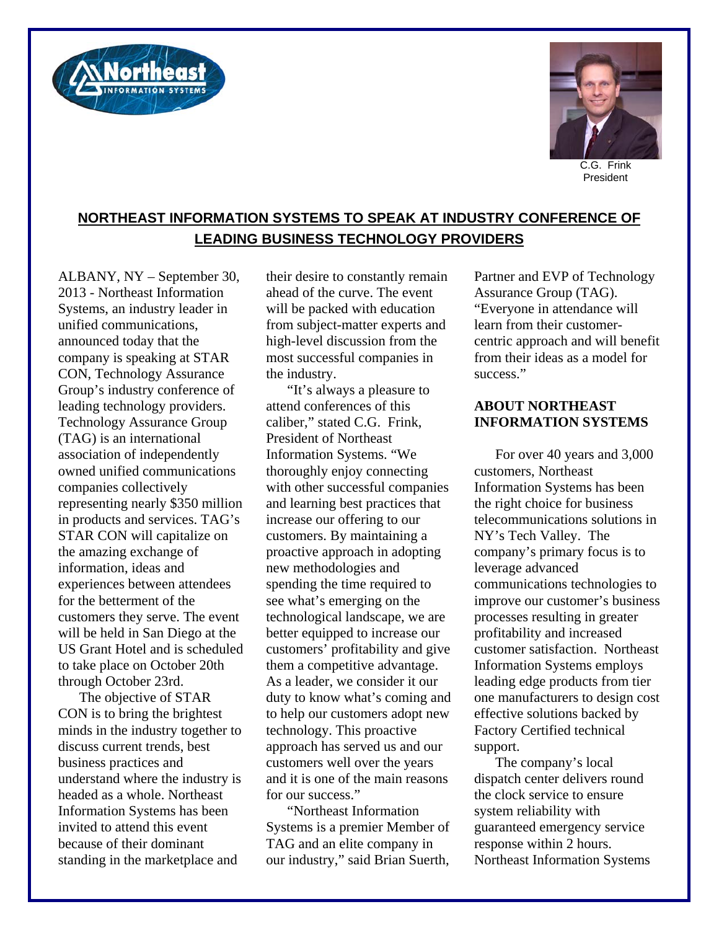



President

## **NORTHEAST INFORMATION SYSTEMS TO SPEAK AT INDUSTRY CONFERENCE OF LEADING BUSINESS TECHNOLOGY PROVIDERS**

ALBANY, NY – September 30, 2013 - Northeast Information Systems, an industry leader in unified communications, announced today that the company is speaking at STAR CON, Technology Assurance Group's industry conference of leading technology providers. Technology Assurance Group (TAG) is an international association of independently owned unified communications companies collectively representing nearly \$350 million in products and services. TAG's STAR CON will capitalize on the amazing exchange of information, ideas and experiences between attendees for the betterment of the customers they serve. The event will be held in San Diego at the US Grant Hotel and is scheduled to take place on October 20th through October 23rd.

The objective of STAR CON is to bring the brightest minds in the industry together to discuss current trends, best business practices and understand where the industry is headed as a whole. Northeast Information Systems has been invited to attend this event because of their dominant standing in the marketplace and

their desire to constantly remain ahead of the curve. The event will be packed with education from subject-matter experts and high-level discussion from the most successful companies in the industry.

"It's always a pleasure to attend conferences of this caliber," stated C.G. Frink, President of Northeast Information Systems. "We thoroughly enjoy connecting with other successful companies and learning best practices that increase our offering to our customers. By maintaining a proactive approach in adopting new methodologies and spending the time required to see what's emerging on the technological landscape, we are better equipped to increase our customers' profitability and give them a competitive advantage. As a leader, we consider it our duty to know what's coming and to help our customers adopt new technology. This proactive approach has served us and our customers well over the years and it is one of the main reasons for our success."

"Northeast Information Systems is a premier Member of TAG and an elite company in our industry," said Brian Suerth,

Partner and EVP of Technology Assurance Group (TAG). "Everyone in attendance will learn from their customercentric approach and will benefit from their ideas as a model for success."

## **ABOUT NORTHEAST INFORMATION SYSTEMS**

For over 40 years and 3,000 customers, Northeast Information Systems has been the right choice for business telecommunications solutions in NY's Tech Valley. The company's primary focus is to leverage advanced communications technologies to improve our customer's business processes resulting in greater profitability and increased customer satisfaction. Northeast Information Systems employs leading edge products from tier one manufacturers to design cost effective solutions backed by Factory Certified technical support.

The company's local dispatch center delivers round the clock service to ensure system reliability with guaranteed emergency service response within 2 hours. Northeast Information Systems